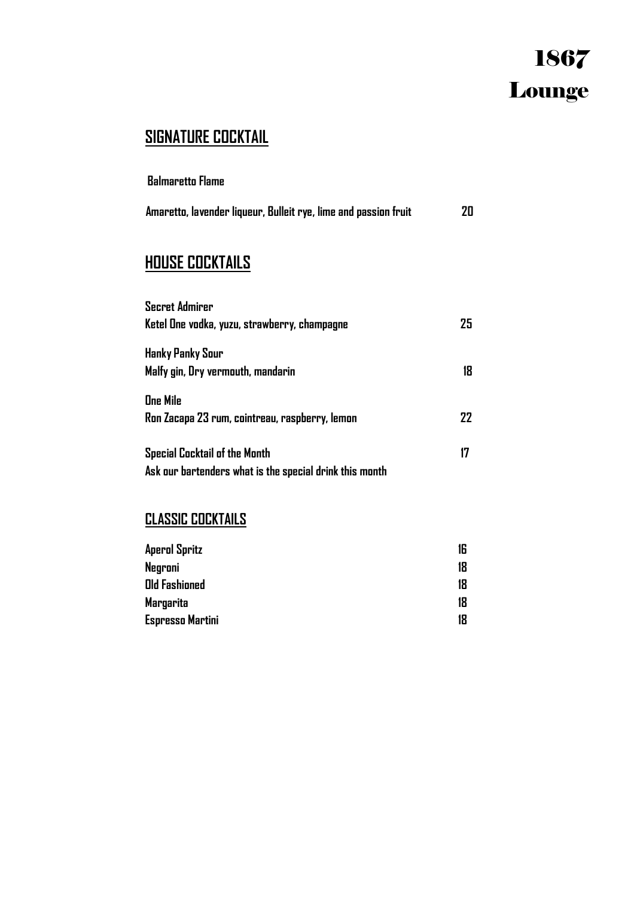# 1867 Lounge

# **SIGNATURE COCKTAIL**

**Balmaretto Flame** 

| Amaretto, lavender liqueur, Bulleit rye, lime and passion fruit | 20 |
|-----------------------------------------------------------------|----|
|-----------------------------------------------------------------|----|

# **HOUSE COCKTAILS**

| <b>Secret Admirer</b><br>Ketel One vodka, yuzu, strawberry, champagne                           | 25 |
|-------------------------------------------------------------------------------------------------|----|
| Hanky Panky Sour<br>Malfy gin, Dry vermouth, mandarin                                           | 18 |
| <b>One Mile</b><br>Ron Zacapa 23 rum, cointreau, raspberry, lemon                               | 77 |
| <b>Special Cocktail of the Month</b><br>Ask our bartenders what is the special drink this month | 17 |

## **CLASSIC COCKTAILS**

| <b>Aperol Spritz</b> | 16 |
|----------------------|----|
| Negroni              | 18 |
| <b>Old Fashioned</b> | 18 |
| Margarita            | 18 |
| Espresso Martini     | 18 |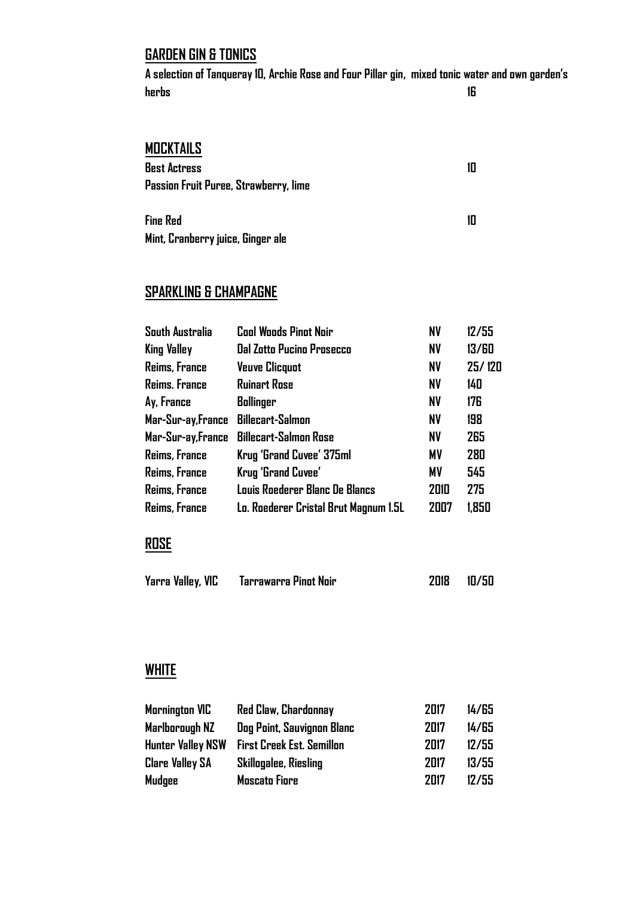#### **GARDEN GIN & TONICS**

**A selection of Tanqueray 10, Archie Rose and Four Pillar gin, mixed tonic water and own garden's herbs 16**

#### **MOCKTAILS**

| <b>Best Actress</b>                   | 10 |
|---------------------------------------|----|
| Passion Fruit Puree, Strawberry, lime |    |
| .                                     |    |

| Fine Red                          |  |
|-----------------------------------|--|
| Mint, Cranberry juice, Ginger ale |  |

## **SPARKLING & CHAMPAGNE**

| <b>South Australia</b> | <b>Cool Woods Pinot Noir</b>          | <b>NV</b> | 12/55  |
|------------------------|---------------------------------------|-----------|--------|
| King Valley            | <b>Dal Zotto Pucino Prosecco</b>      | <b>NV</b> | 13/60  |
| Reims, France          | <b>Veuve Clicquot</b>                 | <b>NV</b> | 25/120 |
| Reims. France          | <b>Ruinart Rose</b>                   | <b>NV</b> | 140    |
| Ay, France             | Bollinger                             | <b>NV</b> | 176    |
| Mar-Sur-ay, France     | <b>Billecart-Salmon</b>               | <b>NV</b> | 198    |
| Mar-Sur-ay, France     | <b>Billecart-Salmon Rose</b>          | <b>NV</b> | 265    |
| Reims, France          | Krug 'Grand Cuvee' 375ml              | <b>MV</b> | 280    |
| Reims, France          | Krug 'Grand Cuvee'                    | <b>MV</b> | 545    |
| Reims, France          | Louis Roederer Blanc De Blancs        | 2010      | 275    |
| Reims, France          | Lo. Roederer Cristal Brut Magnum 1.5L | 2007      | 1.850  |

#### **ROSE**

| Yarra Valley, VIC | Tarrawarra Pinot Noir | 2018 | 10/50 |
|-------------------|-----------------------|------|-------|
|-------------------|-----------------------|------|-------|

#### **WHITE**

| <b>Mornington VIC</b>    | <b>Red Claw, Chardonnay</b>      | 2017 | 14/65 |
|--------------------------|----------------------------------|------|-------|
| Marlborough NZ           | Dog Point, Sauvignon Blanc       | 2017 | 14/65 |
| <b>Hunter Valley NSW</b> | <b>First Creek Est. Semillon</b> | 2017 | 12/55 |
| <b>Clare Valley SA</b>   | <b>Skillogalee, Riesling</b>     | 2017 | 13/55 |
| Mudgee                   | <b>Moscato Fiore</b>             | 2017 | 12/55 |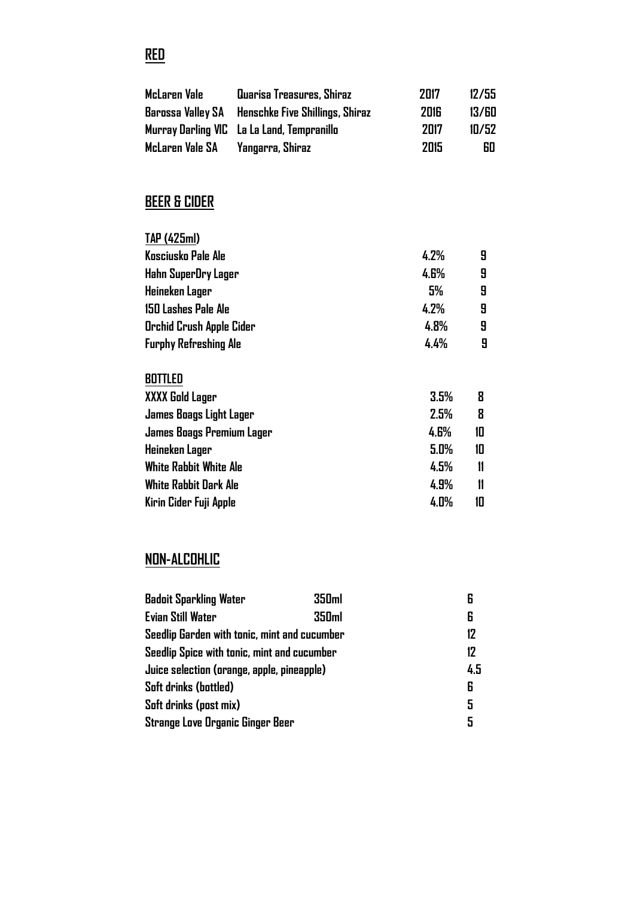| <b>BEER &amp; CIDER</b><br>TAP (425ml)<br>Kosciusko Pale Ale<br>4.2%<br>9<br><b>4.6%</b><br>9<br>Hahn SuperDry Lager<br>5%<br>9<br>Heineken Lager<br>9<br><b>150 Lashes Pale Ale</b><br>4.2%<br>9<br>4.8%<br>Orchid Crush Apple Cider<br>4.4%<br>9<br><b>Furphy Refreshing Ale</b><br><b>BOTTLED</b><br>3.5%<br>XXXX Gold Lager<br>8<br>2.5%<br>8<br>James Boags Light Lager<br>10<br>4.6%<br>James Boags Premium Lager<br>10<br>Heineken Lager<br>5.0%<br><b>White Rabbit White Ale</b><br>4.5%<br>$\mathbf{11}$<br>White Rabbit Dark Ale<br>4.9%<br>$\mathbf{11}$<br>4.0%<br>10<br>Kirin Cider Fuji Apple | <b>McLaren Vale</b><br>Barossa Valley SA<br>Murray Darling VIC<br>McLaren Vale SA | Quarisa Treasures, Shiraz<br>Henschke Five Shillings, Shiraz<br>La La Land, Tempranillo<br>Yangarra, Shiraz | 2017<br><b>2016</b><br>2017<br>2015 | 12/55<br>13/60<br>10/52<br>60 |
|-------------------------------------------------------------------------------------------------------------------------------------------------------------------------------------------------------------------------------------------------------------------------------------------------------------------------------------------------------------------------------------------------------------------------------------------------------------------------------------------------------------------------------------------------------------------------------------------------------------|-----------------------------------------------------------------------------------|-------------------------------------------------------------------------------------------------------------|-------------------------------------|-------------------------------|
|                                                                                                                                                                                                                                                                                                                                                                                                                                                                                                                                                                                                             |                                                                                   |                                                                                                             |                                     |                               |
|                                                                                                                                                                                                                                                                                                                                                                                                                                                                                                                                                                                                             |                                                                                   |                                                                                                             |                                     |                               |
|                                                                                                                                                                                                                                                                                                                                                                                                                                                                                                                                                                                                             |                                                                                   |                                                                                                             |                                     |                               |
|                                                                                                                                                                                                                                                                                                                                                                                                                                                                                                                                                                                                             |                                                                                   |                                                                                                             |                                     |                               |
|                                                                                                                                                                                                                                                                                                                                                                                                                                                                                                                                                                                                             |                                                                                   |                                                                                                             |                                     |                               |
|                                                                                                                                                                                                                                                                                                                                                                                                                                                                                                                                                                                                             |                                                                                   |                                                                                                             |                                     |                               |
|                                                                                                                                                                                                                                                                                                                                                                                                                                                                                                                                                                                                             |                                                                                   |                                                                                                             |                                     |                               |
|                                                                                                                                                                                                                                                                                                                                                                                                                                                                                                                                                                                                             |                                                                                   |                                                                                                             |                                     |                               |
|                                                                                                                                                                                                                                                                                                                                                                                                                                                                                                                                                                                                             |                                                                                   |                                                                                                             |                                     |                               |
|                                                                                                                                                                                                                                                                                                                                                                                                                                                                                                                                                                                                             |                                                                                   |                                                                                                             |                                     |                               |
|                                                                                                                                                                                                                                                                                                                                                                                                                                                                                                                                                                                                             |                                                                                   |                                                                                                             |                                     |                               |
|                                                                                                                                                                                                                                                                                                                                                                                                                                                                                                                                                                                                             |                                                                                   |                                                                                                             |                                     |                               |
|                                                                                                                                                                                                                                                                                                                                                                                                                                                                                                                                                                                                             |                                                                                   |                                                                                                             |                                     |                               |
|                                                                                                                                                                                                                                                                                                                                                                                                                                                                                                                                                                                                             |                                                                                   |                                                                                                             |                                     |                               |
|                                                                                                                                                                                                                                                                                                                                                                                                                                                                                                                                                                                                             |                                                                                   |                                                                                                             |                                     |                               |
|                                                                                                                                                                                                                                                                                                                                                                                                                                                                                                                                                                                                             |                                                                                   |                                                                                                             |                                     |                               |
|                                                                                                                                                                                                                                                                                                                                                                                                                                                                                                                                                                                                             |                                                                                   |                                                                                                             |                                     |                               |

# **NON-ALCOHLIC**

| <b>Badoit Sparkling Water</b>                | 350 <sub>ml</sub> | 6   |
|----------------------------------------------|-------------------|-----|
| <b>Evian Still Water</b>                     | 350 <sub>ml</sub> | 6   |
| Seedlip Garden with tonic, mint and cucumber |                   | 12  |
| Seedlip Spice with tonic, mint and cucumber  |                   | 12  |
| Juice selection (orange, apple, pineapple)   |                   | 4.5 |
| Soft drinks (bottled)                        |                   | 6   |
| Soft drinks (post mix)                       |                   | 5   |
| Strange Love Organic Ginger Beer             |                   | 5   |

# **RED**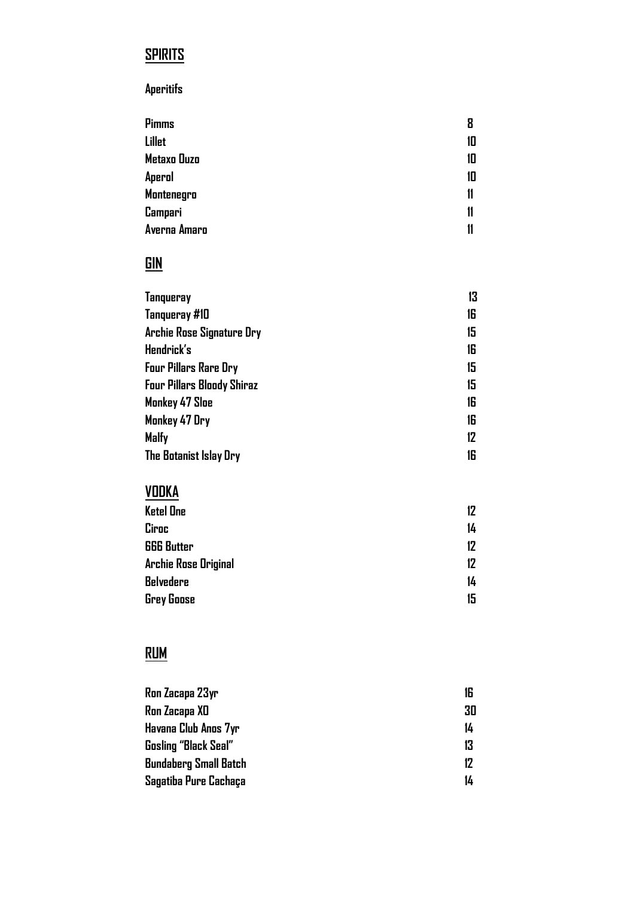# **SPIRITS**

#### **Aperitifs**

| Pimms        | 8  |
|--------------|----|
| Lillet       | 10 |
| Metaxo Ouzo  | 10 |
| Aperol       | 10 |
| Montenegro   | 11 |
| Campari      | 11 |
| Averna Amaro | 11 |

# $GIN$ </u>

| 13 |
|----|
| 16 |
| 15 |
| 16 |
| 15 |
| 15 |
| 16 |
| 16 |
| 12 |
| 16 |
|    |

# VODKA

| <b>Ketel One</b>            | 12 |
|-----------------------------|----|
| Ciroc                       | 14 |
| <b>666 Butter</b>           | 12 |
| <b>Archie Rose Original</b> | 12 |
| <b>Belvedere</b>            | 14 |
| <b>Grey Goose</b>           | 15 |

# $R$ lim

| Ron Zacapa 23yr              | 16 |
|------------------------------|----|
| Ron Zacapa XD                | 30 |
| Havana Club Anos 7yr         | 14 |
| <b>Gosling "Black Seal"</b>  | 13 |
| <b>Bundaberg Small Batch</b> | 12 |
| Sagatiba Pure Cachaça        | 14 |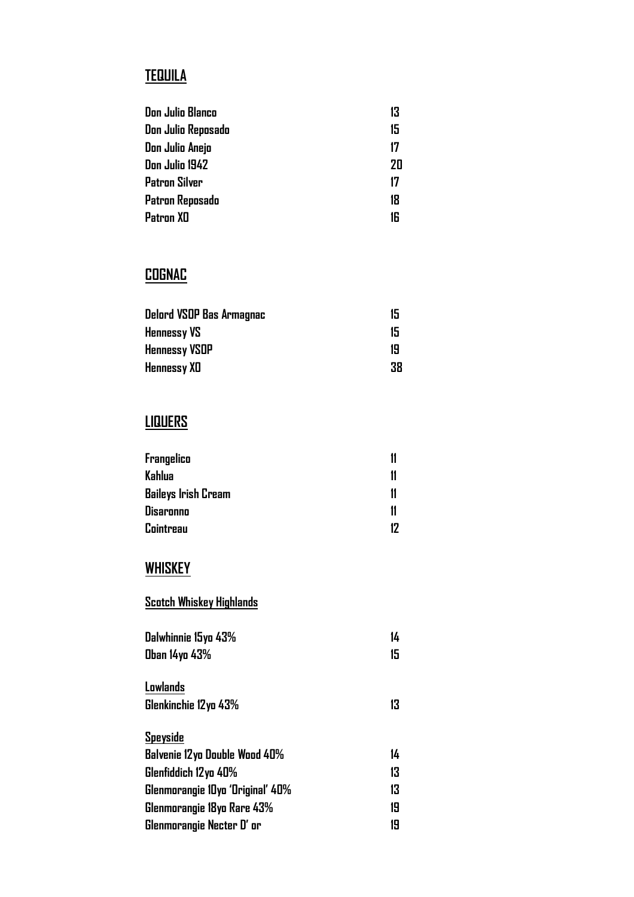# **TEQUILA**

| Don Julio Blanco     | 13 |
|----------------------|----|
| Don Julio Reposado   | 15 |
| Don Julio Anejo      | 17 |
| Don Julio 1942       | 20 |
| <b>Patron Silver</b> | 17 |
| Patron Reposado      | 18 |
| Patron XD            | 16 |
|                      |    |

## **COGNAC**

| Delord VSOP Bas Armagnac | 15 |
|--------------------------|----|
| <b>Hennessy VS</b>       | 15 |
| <b>Hennessy VSOP</b>     | 19 |
| <b>Hennessy XD</b>       | 38 |

# **LIQUERS**

| Frangelico          |    |
|---------------------|----|
| Kahlua              |    |
| Baileys Irish Cream |    |
| Disaronno           |    |
| Cointreau           | 17 |

# **WHISKEY**

#### **Scotch Whiskey Highlands**

| Dalwhinnie 15yo 43%              | 14 |
|----------------------------------|----|
| Oban 14yo 43%                    | 15 |
| Lowlands                         |    |
| Glenkinchie 12yo 43%             | 13 |
| Speyside                         |    |
| Balvenie 12yo Double Wood 40%    | 14 |
| Glenfiddich 12yo 40%             | 13 |
| Glenmorangie 10yo 'Original' 40% | 13 |
| Glenmorangie 18yo Rare 43%       | 19 |
| Glenmorangie Necter D' or        | 19 |
|                                  |    |